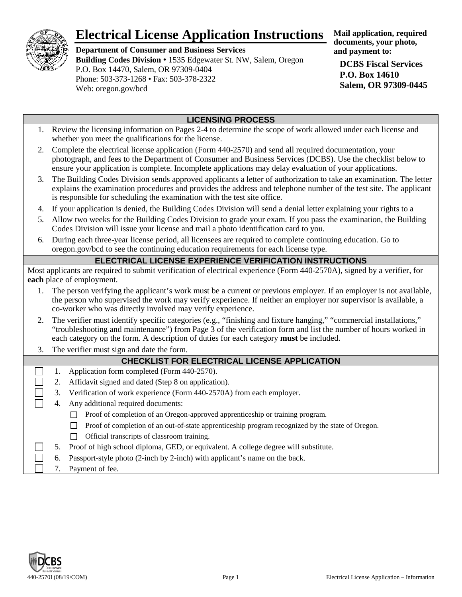

# **Electrical License Application Instructions**

**Department of Consumer and Business Services Building Codes Division** • 1535 Edgewater St. NW, Salem, Oregon P.O. Box 14470, Salem, OR 97309-0404 Phone: 503-373-1268 • Fax: 503-378-2322 Web: oregon.gov/bcd

**Mail application, required documents, your photo, and payment to:**

**DCBS Fiscal Services P.O. Box 14610 Salem, OR 97309-0445**

## **LICENSING PROCESS**

- 1. Review the licensing information on Pages 2-4 to determine the scope of work allowed under each license and whether you meet the qualifications for the license.
- 2. Complete the electrical license application (Form 440-2570) and send all required documentation, your photograph, and fees to the Department of Consumer and Business Services (DCBS). Use the checklist below to ensure your application is complete. Incomplete applications may delay evaluation of your applications.
- 3. The Building Codes Division sends approved applicants a letter of authorization to take an examination. The letter explains the examination procedures and provides the address and telephone number of the test site. The applicant is responsible for scheduling the examination with the test site office.
- 4. If your application is denied, the Building Codes Division will send a denial letter explaining your rights to a
- 5. Allow two weeks for the Building Codes Division to grade your exam. If you pass the examination, the Building Codes Division will issue your license and mail a photo identification card to you.
- 6. During each three-year license period, all licensees are required to complete continuing education. Go to oregon.gov/bcd to see the continuing education requirements for each license type.

#### **ELECTRICAL LICENSE EXPERIENCE VERIFICATION INSTRUCTIONS**

Most applicants are required to submit verification of electrical experience (Form 440-2570A), signed by a verifier, for **each** place of employment.

- 1. The person verifying the applicant's work must be a current or previous employer. If an employer is not available, the person who supervised the work may verify experience. If neither an employer nor supervisor is available, a co-worker who was directly involved may verify experience.
- 2. The verifier must identify specific categories (e.g., "finishing and fixture hanging," "commercial installations," "troubleshooting and maintenance") from Page 3 of the verification form and list the number of hours worked in each category on the form. A description of duties for each category **must** be included.
- 3. The verifier must sign and date the form.

# **CHECKLIST FOR ELECTRICAL LICENSE APPLICATION**

- 1. Application form completed (Form 440-2570).
- 2. Affidavit signed and dated (Step 8 on application).
- 3. Verification of work experience (Form 440-2570A) from each employer.
- 4. Any additional required documents:
	- Proof of completion of an Oregon-approved apprenticeship or training program.
	- $\Box$  Proof of completion of an out-of-state apprenticeship program recognized by the state of Oregon.
	- $\Box$  Official transcripts of classroom training.
- 5. Proof of high school diploma, GED, or equivalent. A college degree will substitute.
- 6. Passport-style photo (2-inch by 2-inch) with applicant's name on the back.
- 7. Payment of fee.

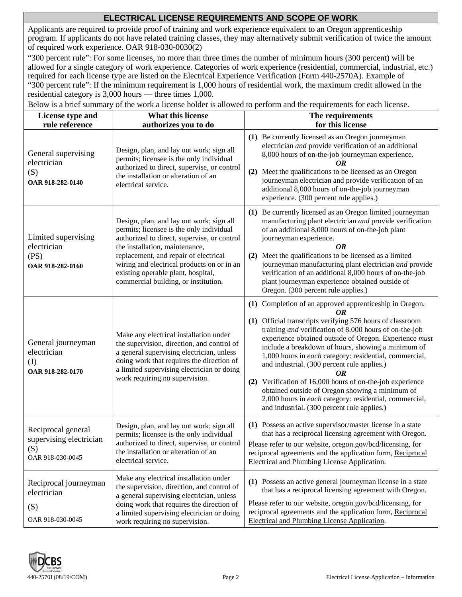### **ELECTRICAL LICENSE REQUIREMENTS AND SCOPE OF WORK**

Applicants are required to provide proof of training and work experience equivalent to an Oregon apprenticeship program. If applicants do not have related training classes, they may alternatively submit verification of twice the amount of required work experience. OAR 918-030-0030(2)

"300 percent rule": For some licenses, no more than three times the number of minimum hours (300 percent) will be allowed for a single category of work experience. Categories of work experience (residential, commercial, industrial, etc.) required for each license type are listed on the Electrical Experience Verification (Form 440-2570A). Example of "300 percent rule": If the minimum requirement is 1,000 hours of residential work, the maximum credit allowed in the residential category is 3,000 hours — three times 1,000.

**License type and rule reference What this license authorizes you to do The requirements for this license** General supervising electrician (S) **OAR 918-282-0140** Design, plan, and lay out work; sign all permits; licensee is the only individual authorized to direct, supervise, or control the installation or alteration of an electrical service. **(1)** Be currently licensed as an Oregon journeyman electrician *and* provide verification of an additional 8,000 hours of on-the-job journeyman experience. *OR* **(2)** Meet the qualifications to be licensed as an Oregon journeyman electrician and provide verification of an additional 8,000 hours of on-the-job journeyman experience. (300 percent rule applies.) Limited supervising electrician (PS) **OAR 918-282-0160** Design, plan, and lay out work; sign all permits; licensee is the only individual authorized to direct, supervise, or control the installation, maintenance, replacement, and repair of electrical wiring and electrical products on or in an existing operable plant, hospital, commercial building, or institution. **(1)** Be currently licensed as an Oregon limited journeyman manufacturing plant electrician *and* provide verification of an additional 8,000 hours of on-the-job plant journeyman experience. *OR* **(2)** Meet the qualifications to be licensed as a limited journeyman manufacturing plant electrician *and* provide verification of an additional 8,000 hours of on-the-job plant journeyman experience obtained outside of Oregon. (300 percent rule applies.) General journeyman electrician (J) **OAR 918-282-0170** Make any electrical installation under the supervision, direction, and control of a general supervising electrician, unless doing work that requires the direction of a limited supervising electrician or doing work requiring no supervision. **(1)** Completion of an approved apprenticeship in Oregon. *OR* **(1)** Official transcripts verifying 576 hours of classroom training *and* verification of 8,000 hours of on-the-job experience obtained outside of Oregon. Experience *must* include a breakdown of hours, showing a minimum of 1,000 hours in *each* category: residential, commercial, and industrial. (300 percent rule applies.) *OR* **(2)** Verification of 16,000 hours of on-the-job experience obtained outside of Oregon showing a minimum of 2,000 hours in *each* category: residential, commercial, and industrial. (300 percent rule applies.) Reciprocal general supervising electrician (S) OAR 918-030-0045 Design, plan, and lay out work; sign all permits; licensee is the only individual authorized to direct, supervise, or control the installation or alteration of an electrical service. **(1)** Possess an active supervisor/master license in a state that has a reciprocal licensing agreement with Oregon. Please refer to our website, oregon.gov/bcd/licensing, for reciprocal agreements and the application form, Reciprocal Electrical and Plumbing License Application.





OAR 918-030-0045

Reciprocal journeyman

electrician

(S)

**(1)** Possess an active general journeyman license in a state that has a reciprocal licensing agreement with Oregon.

Please refer to our website, oregon.gov/bcd/licensing, for reciprocal agreements and the application form, Reciprocal

Electrical and Plumbing License Application.

Make any electrical installation under the supervision, direction, and control of a general supervising electrician, unless doing work that requires the direction of a limited supervising electrician or doing

work requiring no supervision.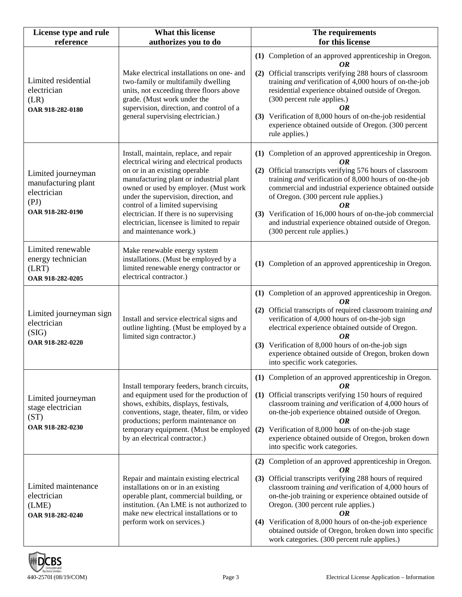| License type and rule<br>reference                                                   | What this license<br>authorizes you to do                                                                                                                                                                                                                                                                                                                                                                | The requirements<br>for this license                                                                                                                                                                                                                                                                                                                                                                                                                          |
|--------------------------------------------------------------------------------------|----------------------------------------------------------------------------------------------------------------------------------------------------------------------------------------------------------------------------------------------------------------------------------------------------------------------------------------------------------------------------------------------------------|---------------------------------------------------------------------------------------------------------------------------------------------------------------------------------------------------------------------------------------------------------------------------------------------------------------------------------------------------------------------------------------------------------------------------------------------------------------|
| Limited residential<br>electrician<br>(LR)<br>OAR 918-282-0180                       | Make electrical installations on one- and<br>two-family or multifamily dwelling<br>units, not exceeding three floors above<br>grade. (Must work under the<br>supervision, direction, and control of a<br>general supervising electrician.)                                                                                                                                                               | (1) Completion of an approved apprenticeship in Oregon.<br>OR<br>(2) Official transcripts verifying 288 hours of classroom<br>training and verification of 4,000 hours of on-the-job<br>residential experience obtained outside of Oregon.<br>(300 percent rule applies.)<br>OR<br>(3) Verification of 8,000 hours of on-the-job residential<br>experience obtained outside of Oregon. (300 percent<br>rule applies.)                                         |
| Limited journeyman<br>manufacturing plant<br>electrician<br>(PI)<br>OAR 918-282-0190 | Install, maintain, replace, and repair<br>electrical wiring and electrical products<br>on or in an existing operable<br>manufacturing plant or industrial plant<br>owned or used by employer. (Must work<br>under the supervision, direction, and<br>control of a limited supervising<br>electrician. If there is no supervising<br>electrician, licensee is limited to repair<br>and maintenance work.) | (1) Completion of an approved apprenticeship in Oregon.<br>OR<br>(2) Official transcripts verifying 576 hours of classroom<br>training and verification of 8,000 hours of on-the-job<br>commercial and industrial experience obtained outside<br>of Oregon. (300 percent rule applies.)<br>OR<br>(3) Verification of 16,000 hours of on-the-job commercial<br>and industrial experience obtained outside of Oregon.<br>(300 percent rule applies.)            |
| Limited renewable<br>energy technician<br>(LRT)<br>OAR 918-282-0205                  | Make renewable energy system<br>installations. (Must be employed by a<br>limited renewable energy contractor or<br>electrical contractor.)                                                                                                                                                                                                                                                               | (1) Completion of an approved apprenticeship in Oregon.                                                                                                                                                                                                                                                                                                                                                                                                       |
| Limited journeyman sign<br>electrician<br>(SIG)<br>OAR 918-282-0220                  | Install and service electrical signs and<br>outline lighting. (Must be employed by a<br>limited sign contractor.)                                                                                                                                                                                                                                                                                        | (1) Completion of an approved apprenticeship in Oregon.<br>OR<br>(2) Official transcripts of required classroom training and<br>verification of 4,000 hours of on-the-job sign<br>electrical experience obtained outside of Oregon.<br>OR<br>(3) Verification of 8,000 hours of on-the-job sign<br>experience obtained outside of Oregon, broken down<br>into specific work categories.                                                                       |
| Limited journeyman<br>stage electrician<br>(ST)<br>OAR 918-282-0230                  | Install temporary feeders, branch circuits,<br>and equipment used for the production of<br>shows, exhibits, displays, festivals,<br>conventions, stage, theater, film, or video<br>productions; perform maintenance on<br>temporary equipment. (Must be employed<br>by an electrical contractor.)                                                                                                        | (1) Completion of an approved apprenticeship in Oregon.<br>OR<br>(1) Official transcripts verifying 150 hours of required<br>classroom training and verification of 4,000 hours of<br>on-the-job experience obtained outside of Oregon.<br>OR<br>(2) Verification of 8,000 hours of on-the-job stage<br>experience obtained outside of Oregon, broken down<br>into specific work categories.                                                                  |
| Limited maintenance<br>electrician<br>(LME)<br>OAR 918-282-0240                      | Repair and maintain existing electrical<br>installations on or in an existing<br>operable plant, commercial building, or<br>institution. (An LME is not authorized to<br>make new electrical installations or to<br>perform work on services.)                                                                                                                                                           | (2) Completion of an approved apprenticeship in Oregon.<br>OR<br>(3) Official transcripts verifying 288 hours of required<br>classroom training and verification of 4,000 hours of<br>on-the-job training or experience obtained outside of<br>Oregon. (300 percent rule applies.)<br>OR<br>(4) Verification of 8,000 hours of on-the-job experience<br>obtained outside of Oregon, broken down into specific<br>work categories. (300 percent rule applies.) |